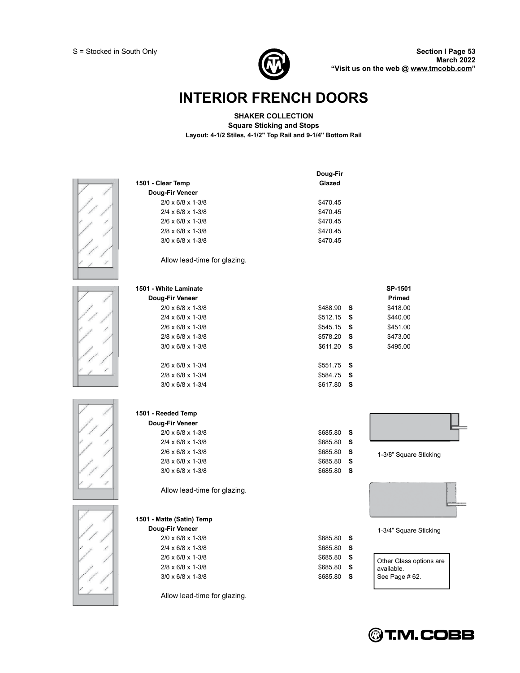

# **INTERIOR FRENCH DOORS**

### **SHAKER COLLECTION**

**Square Sticking and Stops**

**Layout: 4-1/2 Stiles, 4-1/2" Top Rail and 9-1/4" Bottom Rail** 





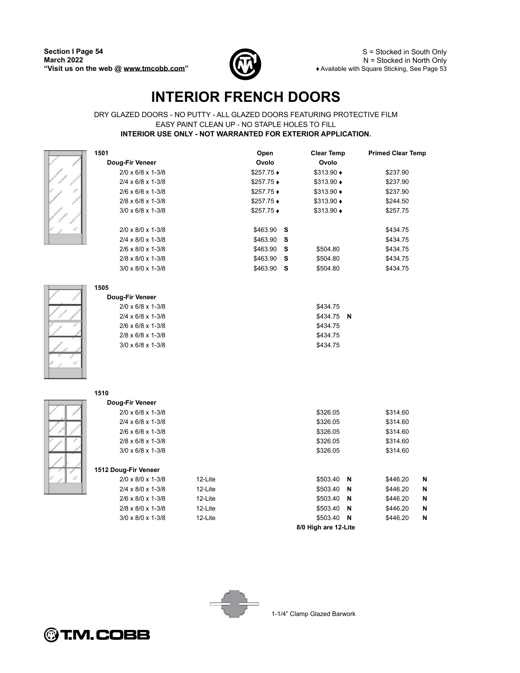1501

Doug-Fir Veneer

 $2/0 \times 6/8 \times 1-3/8$ 

 $2/4 \times 6/8 \times 1-3/8$ 

 $2/6 \times 6/8 \times 1-3/8$ 



S = Stocked in South Only  $N =$  Stocked in North Only ◆ Available with Square Sticking, See Page 53

**Primed Clear Temp** 

\$237.90

\$237.90

\$237.90

N  $\boldsymbol{\mathsf{N}}$  $\mathbf N$  $\mathsf{N}$  $\overline{\mathsf{N}}$ 

# **INTERIOR FRENCH DOORS**

### DRY GLAZED DOORS - NO PUTTY - ALL GLAZED DOORS FEATURING PROTECTIVE FILM EASY PAINT CLEAN UP - NO STAPLE HOLES TO FILL INTERIOR USE ONLY - NOT WARRANTED FOR EXTERIOR APPLICATION.

Open

Ovolo

\$257.75 ♦

 $$257.75$   $\bullet$ 

 $$257.75 \rightarrow$ 

**Clear Temp** 

Ovolo

 $$313.90 \rightarrow$ 

 $$313.90 \rightarrow$ 

 $$313.90 \rightarrow$ 



 $\frac{7}{7}$ 

| $2/8 \times 6/8 \times 1 - \frac{3}{8}$                                    |         | \$257.75 ♦ |   | \$313.90 ♦            |   | \$244.50 |
|----------------------------------------------------------------------------|---------|------------|---|-----------------------|---|----------|
| $3/0 \times 6/8 \times 1 - 3/8$                                            |         | \$257.75 ♦ |   | $$313.90 \rightarrow$ |   | \$257.75 |
|                                                                            |         |            |   |                       |   |          |
| 2/0 x 8/0 x 1-3/8                                                          |         | \$463.90   | s |                       |   | \$434.75 |
| $2/4 \times 8/0 \times 1-3/8$                                              |         | \$463.90   | s |                       |   | \$434.75 |
| 2/6 x 8/0 x 1-3/8                                                          |         | \$463.90   | S | \$504.80              |   | \$434.75 |
| $2/8 \times 8/0 \times 1-3/8$                                              |         | \$463.90   | S | \$504.80              |   | \$434.75 |
| $3/0 \times 8/0 \times 1-3/8$                                              |         | \$463.90   | s | \$504.80              |   | \$434.75 |
|                                                                            |         |            |   |                       |   |          |
| 1505                                                                       |         |            |   |                       |   |          |
| Doug-Fir Veneer                                                            |         |            |   |                       |   |          |
| 2/0 x 6/8 x 1-3/8                                                          |         |            |   | \$434.75              |   |          |
| $2/4 \times 6/8 \times 1 - 3/8$<br>$2/6 \times 6/8 \times 1 - \frac{3}{8}$ |         |            |   | \$434.75              | N |          |
|                                                                            |         |            |   | \$434.75              |   |          |
| 2/8 x 6/8 x 1-3/8                                                          |         |            |   | \$434.75              |   |          |
| $3/0 \times 6/8 \times 1 - 3/8$                                            |         |            |   | \$434.75              |   |          |
|                                                                            |         |            |   |                       |   |          |
|                                                                            |         |            |   |                       |   |          |
|                                                                            |         |            |   |                       |   |          |
| 1510                                                                       |         |            |   |                       |   |          |
| Doug-Fir Veneer                                                            |         |            |   |                       |   |          |
| 2/0 x 6/8 x 1-3/8                                                          |         |            |   | \$326.05              |   | \$314.60 |
| $2/4 \times 6/8 \times 1 - 3/8$                                            |         |            |   | \$326.05              |   | \$314.60 |
| $2/6 \times 6/8 \times 1 - \frac{3}{8}$                                    |         |            |   | \$326.05              |   | \$314.60 |
| $2/8 \times 6/8 \times 1 - \frac{3}{8}$                                    |         |            |   | \$326.05              |   | \$314.60 |
| $3/0 \times 6/8 \times 1 - 3/8$                                            |         |            |   | \$326.05              |   | \$314.60 |
|                                                                            |         |            |   |                       |   |          |
| 1512 Doug-Fir Veneer                                                       |         |            |   |                       |   |          |
| $2/0 \times 8/0 \times 1-3/8$                                              | 12-Lite |            |   | \$503.40              | N | \$446.20 |
| $2/4 \times 8/0 \times 1-3/8$                                              | 12-Lite |            |   | \$503.40              | N | \$446.20 |
| 2/6 x 8/0 x 1-3/8                                                          | 12-Lite |            |   | \$503.40              | N | \$446.20 |
| $2/8 \times 8/0 \times 1-3/8$                                              | 12-Lite |            |   | \$503.40              | N | \$446.20 |
| $3/0 \times 8/0 \times 1-3/8$                                              | 12-Lite |            |   | \$503.40              | N | \$446.20 |
|                                                                            |         |            |   |                       |   |          |

8/0 High are 12-Lite





1-1/4" Clamp Glazed Barwork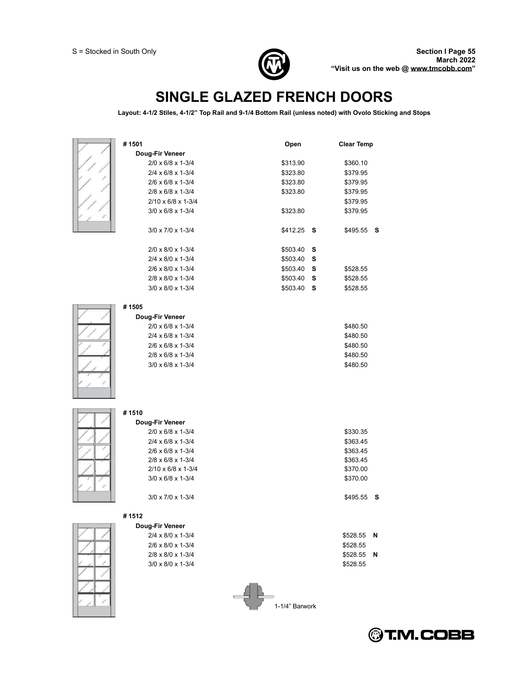

# **SINGLE GLAZED FRENCH DOORS**

**Layout: 4-1/2 Stiles, 4-1/2 Top Rail and 9-1/4 Bottom Rail (unless noted) with Ovolo Sticking and Stops**

| #1501                                   | Open           | <b>Clear Temp</b> |
|-----------------------------------------|----------------|-------------------|
| Doug-Fir Veneer                         |                |                   |
| 2/0 x 6/8 x 1-3/4                       | \$313.90       | \$360.10          |
| 2/4 x 6/8 x 1-3/4                       | \$323.80       | \$379.95          |
| 2/6 x 6/8 x 1-3/4                       | \$323.80       | \$379.95          |
| $2/8 \times 6/8 \times 1 - \frac{3}{4}$ | \$323.80       | \$379.95          |
| $2/10 \times 6/8 \times 1-3/4$          |                | \$379.95          |
| $3/0 \times 6/8 \times 1-3/4$           | \$323.80       | \$379.95          |
|                                         |                |                   |
| 3/0 x 7/0 x 1-3/4                       | \$412.25<br>s  | $$495.55$ S       |
|                                         |                |                   |
| 2/0 x 8/0 x 1-3/4                       | \$503.40<br>s  |                   |
| 2/4 x 8/0 x 1-3/4                       | \$503.40<br>s  |                   |
| 2/6 x 8/0 x 1-3/4                       | \$503.40<br>s  | \$528.55          |
| 2/8 x 8/0 x 1-3/4                       | \$503.40<br>s  | \$528.55          |
| $3/0 \times 8/0 \times 1-3/4$           | s<br>\$503.40  | \$528.55          |
|                                         |                |                   |
| #1505                                   |                |                   |
| Doug-Fir Veneer                         |                |                   |
| 2/0 x 6/8 x 1-3/4                       |                | \$480.50          |
| $2/4 \times 6/8 \times 1 - \frac{3}{4}$ |                | \$480.50          |
| 2/6 x 6/8 x 1-3/4                       |                | \$480.50          |
| 2/8 x 6/8 x 1-3/4                       |                | \$480.50          |
| $3/0 \times 6/8 \times 1-3/4$           |                | \$480.50          |
|                                         |                |                   |
|                                         |                |                   |
|                                         |                |                   |
| #1510                                   |                |                   |
| Doug-Fir Veneer                         |                |                   |
| 2/0 x 6/8 x 1-3/4                       |                | \$330.35          |
| $2/4 \times 6/8 \times 1 - \frac{3}{4}$ |                | \$363.45          |
| 2/6 x 6/8 x 1-3/4                       |                | \$363.45          |
| 2/8 x 6/8 x 1-3/4                       |                | \$363.45          |
| 2/10 x 6/8 x 1-3/4                      |                | \$370.00          |
| $3/0 \times 6/8 \times 1-3/4$           |                | \$370.00          |
|                                         |                |                   |
| $3/0 \times 7/0 \times 1-3/4$           |                | \$495.55<br>s     |
|                                         |                |                   |
| #1512                                   |                |                   |
| Doug-Fir Veneer                         |                |                   |
| 2/4 x 8/0 x 1-3/4                       |                | \$528.55<br>N     |
| 2/6 x 8/0 x 1-3/4                       |                | \$528.55          |
| 2/8 x 8/0 x 1-3/4                       |                | \$528.55<br>N     |
| $3/0 \times 8/0 \times 1-3/4$           |                | \$528.55          |
|                                         |                |                   |
|                                         |                |                   |
|                                         |                |                   |
|                                         | 1-1/4" Barwork |                   |
|                                         |                |                   |

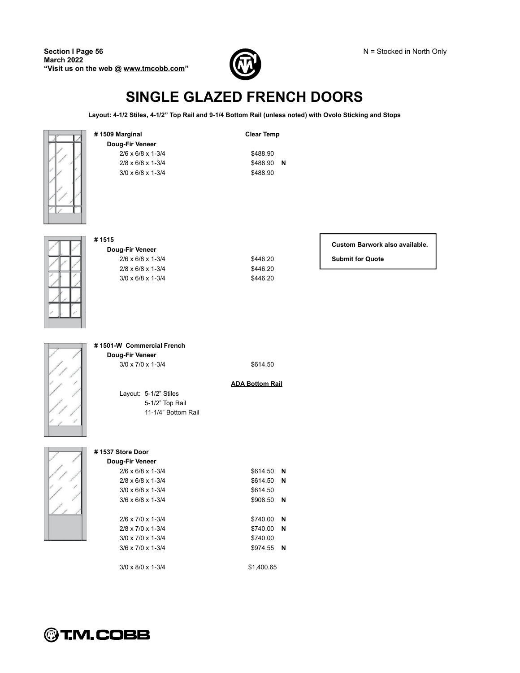

# **SINGLE GLAZED FRENCH DOORS**

**Layout: 4-1/2 Stiles, 4-1/2 Top Rail and 9-1/4 Bottom Rail (unless noted) with Ovolo Sticking and Stops**



**Doug-Fir Veneer** 2/6 x 6/8 x 1-3/4 \$488.90 2/8 x 6/8 x 1-3/4 \$488.90 **N**

**# 1509 Marginal Clear Temp**

 $3/0 \times 6/8 \times 1 - 3/4$  \$488.90



### **# 1515**

**Doug-Fir Veneer** 2/6 x 6/8 x 1-3/4 \$446.20 **Submit for Quote** 2/8 x 6/8 x 1-3/4 \$446.20  $3/0 \times 6/8 \times 1 - \frac{3}{4}$  \$446.20

### **Custom Barwork also available.**



**# 1501-W Commercial French** 

**Doug-Fir Veneer** 3/0 x 7/0 x 1-3/4 \$614.50

### **ADA Bottom Rail**

Layout: 5-1/2" Stiles 5-1/2" Top Rail 11-1/4" Bottom Rail



#### **# 1537 Store Door Doug-Fir Veneer**

| \$614.50   | N |  |
|------------|---|--|
| \$614.50   | N |  |
| \$614.50   |   |  |
| \$908.50   | N |  |
|            |   |  |
| \$740.00   | N |  |
| \$740.00   | N |  |
| \$740.00   |   |  |
| \$974.55   | N |  |
|            |   |  |
| \$1.400.65 |   |  |

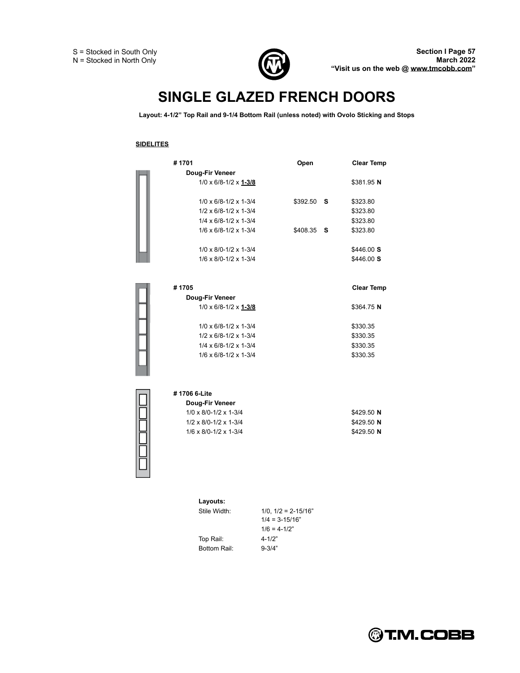

# **SINGLE GLAZED FRENCH DOORS**

Layout: 4-1/2" Top Rail and 9-1/4 Bottom Rail (unless noted) with Ovolo Sticking and Stops

### **SIDELITES**

| #1701                                 | Open     |          | <b>Clear Temp</b> |
|---------------------------------------|----------|----------|-------------------|
| Doug-Fir Veneer                       |          |          |                   |
| $1/0 \times 6/8 - 1/2 \times 1 - 3/8$ |          |          | \$381.95 N        |
| $1/0 \times 6/8 - 1/2 \times 1 - 3/4$ | \$392.50 | <b>S</b> | \$323.80          |
| $1/2 \times 6/8 - 1/2 \times 1 - 3/4$ |          |          | \$323.80          |
| $1/4 \times 6/8 - 1/2 \times 1 - 3/4$ |          |          | \$323.80          |
| $1/6 \times 6/8 - 1/2 \times 1 - 3/4$ | \$408.35 | - S      | \$323.80          |
| $1/0 \times 8/0 - 1/2 \times 1 - 3/4$ |          |          | \$446.00 S        |
| $1/6 \times 8/0 - 1/2 \times 1 - 3/4$ |          |          | \$446.00 S        |
|                                       |          |          |                   |
| #1705                                 |          |          | <b>Clear Temp</b> |
| Doug-Fir Veneer                       |          |          |                   |
| $1/0 \times 6/8 - 1/2 \times 1 - 3/8$ |          |          | \$364.75 N        |

| $1/0 \times 6/8 - 1/2 \times 1 - 3/8$ | \$364.75 N |
|---------------------------------------|------------|
| $1/0 \times 6/8 - 1/2 \times 1 - 3/4$ | \$330.35   |
| $1/2 \times 6/8 - 1/2 \times 1 - 3/4$ | \$330.35   |
| $1/4 \times 6/8 - 1/2 \times 1 - 3/4$ | \$330.35   |
| $1/6 \times 6/8 - 1/2 \times 1 - 3/4$ | \$330.35   |
|                                       |            |

| # 1706 6-Lite                         |            |
|---------------------------------------|------------|
| Doug-Fir Veneer                       |            |
| $1/0 \times 8/0 - 1/2 \times 1 - 3/4$ | \$429.50 N |
| $1/2 \times 8/0 - 1/2 \times 1 - 3/4$ | \$429.50 N |
| $1/6 \times 8/0 - 1/2 \times 1 - 3/4$ | \$429.50 N |

| Lavouts:     |                          |
|--------------|--------------------------|
| Stile Width: | $1/0$ , $1/2 = 2-15/16"$ |
|              | $1/4 = 3 - 15/16"$       |
|              | $1/6 = 4-1/2"$           |
| Top Rail:    | $4 - 1/2"$               |
| Bottom Rail: | $9 - 3/4"$               |

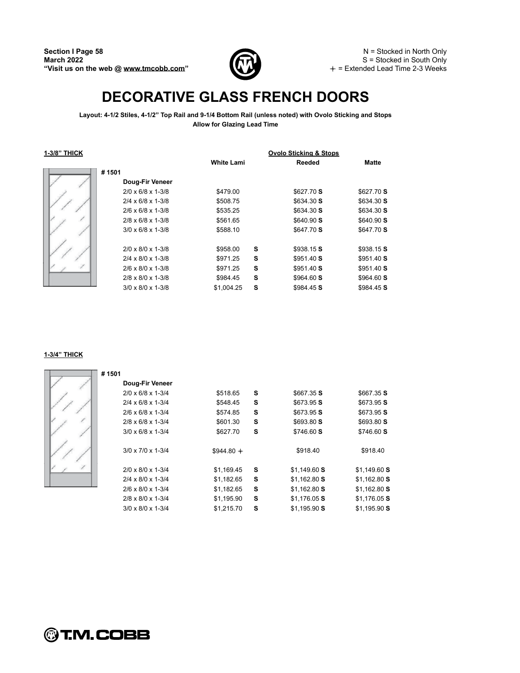

N = Stocked in North Only S = Stocked in South Only  $+$  = Extended Lead Time 2-3 Weeks

# **DECORATIVE GLASS FRENCH DOORS**

**Layout: 4-1/2 Stiles, 4-1/2 Top Rail and 9-1/4 Bottom Rail (unless noted) with Ovolo Sticking and Stops Allow for Glazing Lead Time**

**1-3/8 THICK Ovolo Sticking & Stops**

|                                 |            |   | <b>Ovolo Sticking &amp; Stops</b> |              |
|---------------------------------|------------|---|-----------------------------------|--------------|
|                                 | White Lami |   | Reeded                            | <b>Matte</b> |
| #1501                           |            |   |                                   |              |
| Doug-Fir Veneer                 |            |   |                                   |              |
| $2/0 \times 6/8 \times 1 - 3/8$ | \$479.00   |   | \$627.70 S                        | \$627.70 S   |
| $2/4 \times 6/8 \times 1 - 3/8$ | \$508.75   |   | \$634.30S                         | \$634.30 S   |
| $2/6 \times 6/8 \times 1 - 3/8$ | \$535.25   |   | \$634.30S                         | \$634.30 S   |
| $2/8 \times 6/8 \times 1 - 3/8$ | \$561.65   |   | \$640.90 S                        | \$640.90 S   |
| $3/0 \times 6/8 \times 1 - 3/8$ | \$588.10   |   | \$647.70 S                        | \$647.70 S   |
| $2/0 \times 8/0 \times 1-3/8$   | \$958.00   | s | \$938.15 S                        | \$938.15 S   |
| $2/4 \times 8/0 \times 1-3/8$   | \$971.25   | s | \$951.40 S                        | \$951.40 S   |
| $2/6 \times 8/0 \times 1-3/8$   | \$971.25   | S | \$951.40 S                        | \$951.40 S   |
| $2/8 \times 8/0 \times 1-3/8$   | \$984.45   | s | \$964.60 S                        | \$964.60S    |
| $3/0 \times 8/0 \times 1-3/8$   | \$1,004.25 | S | \$984.45 S                        | \$984.45 S   |

#### **1-3/4 THICK**

| #1501                           |             |   |               |               |
|---------------------------------|-------------|---|---------------|---------------|
| Doug-Fir Veneer                 |             |   |               |               |
| $2/0 \times 6/8 \times 1 - 3/4$ | \$518.65    | s | \$667.35 S    | \$667.35S     |
| $2/4 \times 6/8 \times 1 - 3/4$ | \$548.45    | s | \$673.95 S    | \$673.95 S    |
| $2/6 \times 6/8 \times 1 - 3/4$ | \$574.85    | s | \$673.95 S    | \$673.95 S    |
| $2/8 \times 6/8 \times 1 - 3/4$ | \$601.30    | s | \$693.80 S    | \$693.80 S    |
| $3/0 \times 6/8 \times 1 - 3/4$ | \$627.70    | s | \$746.60 S    | \$746.60 S    |
| $3/0 \times 7/0 \times 1-3/4$   | $$944.80 +$ |   | \$918.40      | \$918.40      |
| $2/0 \times 8/0 \times 1-3/4$   | \$1,169.45  | s | \$1,149.60S   | \$1,149.60S   |
| $2/4 \times 8/0 \times 1-3/4$   | \$1,182.65  | s | \$1,162.80S   | $$1,162.80$ S |
| $2/6 \times 8/0 \times 1-3/4$   | \$1,182.65  | s | \$1,162.80S   | $$1,162.80$ S |
| $2/8 \times 8/0 \times 1-3/4$   | \$1,195.90  | s | $$1,176.05$ S | \$1,176.05 S  |
| $3/0 \times 8/0 \times 1-3/4$   | \$1,215.70  | s | \$1,195.90S   | \$1.195.90 S  |

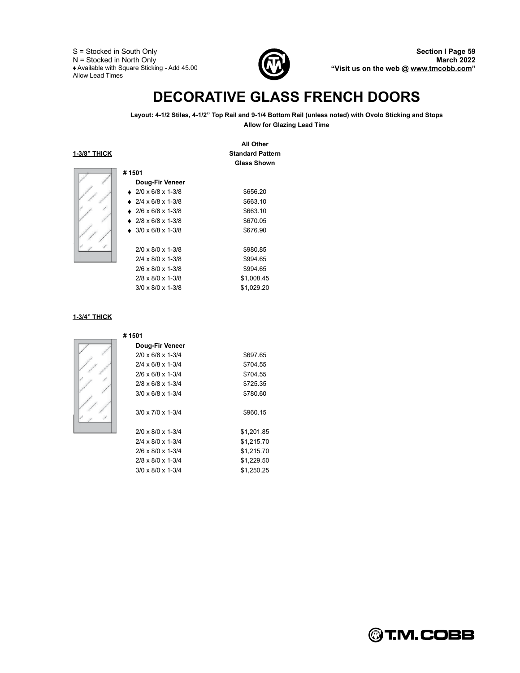S = Stocked in South Only N = Stocked in North Only Available with Square Sticking - Add 45.00 Allow Lead Times



**All Other**

# **DECORATIVE GLASS FRENCH DOORS**

**Layout: 4-1/2 Stiles, 4-1/2 Top Rail and 9-1/4 Bottom Rail (unless noted) with Ovolo Sticking and Stops Allow for Glazing Lead Time**

**1-3/8 THICK Standard Pattern**

|                                 | <b>Glass Shown</b> |
|---------------------------------|--------------------|
| #1501                           |                    |
| Doug-Fir Veneer                 |                    |
| $\bullet$ 2/0 x 6/8 x 1-3/8     | \$656.20           |
| $\bullet$ 2/4 x 6/8 x 1-3/8     | \$663.10           |
| $\bullet$ 2/6 x 6/8 x 1-3/8     | \$663.10           |
| $\bullet$ 2/8 x 6/8 x 1-3/8     | \$670.05           |
| $\bullet$ 3/0 x 6/8 x 1-3/8     | \$676.90           |
| $2/0 \times 8/0 \times 1-3/8$   | \$980.85           |
| $2/4 \times 8/0 \times 1-3/8$   | \$994.65           |
| $2/6 \times 8/0 \times 1-3/8$   | \$994.65           |
| $2/8 \times 8/0 \times 1-3/8$   | \$1,008.45         |
| $3/0 \times 8/0 \times 1 - 3/8$ | \$1,029.20         |

#### **1-3/4 THICK**

| #1501                           |            |
|---------------------------------|------------|
| Doug-Fir Veneer                 |            |
| $2/0 \times 6/8 \times 1 - 3/4$ | \$697.65   |
| $2/4 \times 6/8 \times 1 - 3/4$ | \$704.55   |
| $2/6 \times 6/8 \times 1 - 3/4$ | \$704.55   |
| $2/8 \times 6/8 \times 1 - 3/4$ | \$725.35   |
| $3/0 \times 6/8 \times 1 - 3/4$ | \$780.60   |
| $3/0 \times 7/0 \times 1-3/4$   | \$960.15   |
| $2/0 \times 8/0 \times 1-3/4$   | \$1,201.85 |
| $2/4 \times 8/0 \times 1-3/4$   | \$1,215.70 |
| $2/6 \times 8/0 \times 1-3/4$   | \$1,215.70 |
| $2/8 \times 8/0 \times 1-3/4$   | \$1,229.50 |
| $3/0 \times 8/0 \times 1 - 3/4$ | \$1,250.25 |

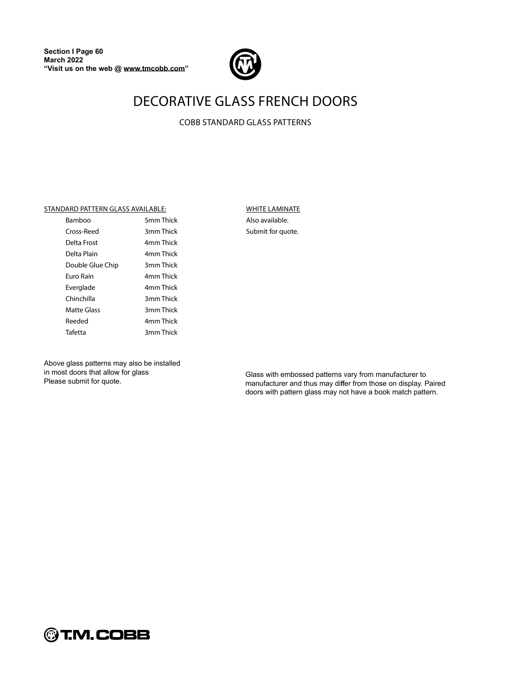

## **DECORATIVE GLASS FRENCH DOORS**

**COBB STANDARD GLASS PATTERNS** 

#### STANDARD PATTERN GLASS AVAILABLE:

| Bamboo           | 5mm Thick |
|------------------|-----------|
| Cross-Reed       | 3mm Thick |
| Delta Frost      | 4mm Thick |
| Delta Plain      | 4mm Thick |
| Double Glue Chip | 3mm Thick |
| Euro Rain        | 4mm Thick |
| Everglade        | 4mm Thick |
| Chinchilla       | 3mm Thick |
| Matte Glass      | 3mm Thick |
| Reeded           | 4mm Thick |
| Tafetta          | 3mm Thick |
|                  |           |

**WHITE LAMINATE** Also available. Submit for quote.

Above glass patterns may also be installed in most doors that allow for glass Please submit for quote.

Glass with embossed patterns vary from manufacturer to manufacturer and thus may differ from those on display. Paired doors with pattern glass may not have a book match pattern.

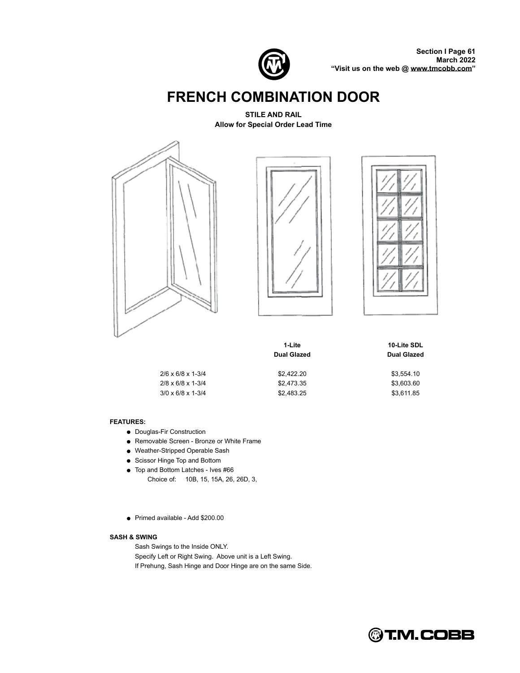

**Section I Page 61 March 2022 Visit us on the web @ [www.tmcobb.com](http://www.tmcobb.com)**

# **FRENCH COMBINATION DOOR**

**STILE AND RAIL Allow for Special Order Lead Time**







|                                 | 1-Lite<br><b>Dual Glazed</b> |            |
|---------------------------------|------------------------------|------------|
| $2/6 \times 6/8 \times 1 - 3/4$ | \$2,422.20                   | \$3,554.10 |
| $2/8 \times 6/8 \times 1 - 3/4$ | \$2.473.35                   | \$3,603.60 |
| $3/0 \times 6/8 \times 1 - 3/4$ | \$2.483.25                   | \$3,611.85 |

#### **FEATURES:**

- Douglas-Fir Construction
- Removable Screen Bronze or White Frame
- Weather-Stripped Operable Sash
- Scissor Hinge Top and Bottom
- Top and Bottom Latches Ives #66 Choice of: 10B, 15, 15A, 26, 26D, 3,
- Primed available Add \$200.00

#### **SASH & SWING**

Sash Swings to the Inside ONLY. Specify Left or Right Swing. Above unit is a Left Swing. If Prehung, Sash Hinge and Door Hinge are on the same Side.

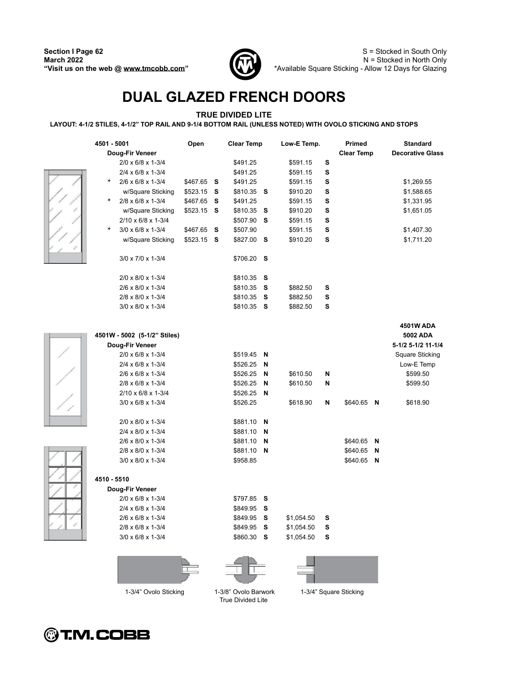

# **DUAL GLAZED FRENCH DOORS**

### **TRUE DIVIDED LITE**

**LAYOUT: 4-1/2 STILES, 4-1/2 TOP RAIL AND 9-1/4 BOTTOM RAIL (UNLESS NOTED) WITH OVOLO STICKING AND STOPS**

| 4501 - 5001<br>Doug-Fir Veneer            | Open        |   | <b>Clear Temp</b> |   | Low-E Temp. |   | <b>Primed</b><br><b>Clear Temp</b> |   | <b>Standard</b><br><b>Decorative Glass</b> |
|-------------------------------------------|-------------|---|-------------------|---|-------------|---|------------------------------------|---|--------------------------------------------|
| $2/0 \times 6/8 \times 1-3/4$             |             |   | \$491.25          |   | \$591.15    | S |                                    |   |                                            |
| 2/4 x 6/8 x 1-3/4                         |             |   | \$491.25          |   | \$591.15    | s |                                    |   |                                            |
| $\ast$<br>$2/6 \times 6/8 \times 1 - 3/4$ | \$467.65 S  |   | \$491.25          |   | \$591.15    | s |                                    |   | \$1,269.55                                 |
| w/Square Sticking                         | \$523.15    | s | \$810.35 S        |   | \$910.20    | s |                                    |   | \$1,588.65                                 |
| $\ast$<br>2/8 x 6/8 x 1-3/4               | \$467.65    | s | \$491.25          |   | \$591.15    | S |                                    |   | \$1,331.95                                 |
| w/Square Sticking                         | $$523.15$ S |   | \$810.35          | s | \$910.20    | S |                                    |   | \$1,651.05                                 |
| $2/10 \times 6/8 \times 1-3/4$            |             |   | \$507.90          | s | \$591.15    | S |                                    |   |                                            |
| ∗<br>$3/0 \times 6/8 \times 1 - 3/4$      | \$467.65    | s | \$507.90          |   | \$591.15    | s |                                    |   | \$1,407.30                                 |
| w/Square Sticking                         | $$523.15$ S |   | \$827.00          | s | \$910.20    | S |                                    |   | \$1,711.20                                 |
|                                           |             |   |                   |   |             |   |                                    |   |                                            |
| $3/0 \times 7/0 \times 1-3/4$             |             |   | \$706.20 S        |   |             |   |                                    |   |                                            |
| 2/0 x 8/0 x 1-3/4                         |             |   | \$810.35          | s |             |   |                                    |   |                                            |
| 2/6 x 8/0 x 1-3/4                         |             |   | \$810.35          | s | \$882.50    | s |                                    |   |                                            |
| 2/8 x 8/0 x 1-3/4                         |             |   | \$810.35          | s | \$882.50    | s |                                    |   |                                            |
| $3/0 \times 8/0 \times 1-3/4$             |             |   | \$810.35 S        |   | \$882.50    | s |                                    |   |                                            |
|                                           |             |   |                   |   |             |   |                                    |   |                                            |
|                                           |             |   |                   |   |             |   |                                    |   | 4501W ADA                                  |
| 4501W - 5002 (5-1/2" Stiles)              |             |   |                   |   |             |   |                                    |   | 5002 ADA                                   |
| Doug-Fir Veneer                           |             |   |                   |   |             |   |                                    |   | 5-1/2 5-1/2 11-1/4                         |
| 2/0 x 6/8 x 1-3/4                         |             |   | \$519.45          | N |             |   |                                    |   | <b>Square Sticking</b>                     |
| 2/4 x 6/8 x 1-3/4                         |             |   | \$526.25          | N |             |   |                                    |   | Low-E Temp                                 |
| 2/6 x 6/8 x 1-3/4                         |             |   | \$526.25          | N | \$610.50    | N |                                    |   | \$599.50                                   |
| 2/8 x 6/8 x 1-3/4                         |             |   | \$526.25          | N | \$610.50    | N |                                    |   | \$599.50                                   |
| $2/10 \times 6/8 \times 1-3/4$            |             |   | \$526.25          | N |             |   |                                    |   |                                            |
| $3/0 \times 6/8 \times 1 - 3/4$           |             |   | \$526.25          |   | \$618.90    | N | $$640.65$ N                        |   | \$618.90                                   |
|                                           |             |   |                   |   |             |   |                                    |   |                                            |
| 2/0 x 8/0 x 1-3/4                         |             |   | $$881.10$ N       |   |             |   |                                    |   |                                            |
| 2/4 x 8/0 x 1-3/4                         |             |   | \$881.10          | N |             |   |                                    |   |                                            |
| 2/6 x 8/0 x 1-3/4                         |             |   | \$881.10          | N |             |   | \$640.65                           | N |                                            |
| 2/8 x 8/0 x 1-3/4                         |             |   | \$881.10          | N |             |   | \$640.65                           | N |                                            |
| 3/0 x 8/0 x 1-3/4                         |             |   | \$958.85          |   |             |   | \$640.65                           | N |                                            |
|                                           |             |   |                   |   |             |   |                                    |   |                                            |
| 4510 - 5510                               |             |   |                   |   |             |   |                                    |   |                                            |
| Doug-Fir Veneer                           |             |   |                   |   |             |   |                                    |   |                                            |
| 2/0 x 6/8 x 1-3/4                         |             |   | \$797.85          | s |             |   |                                    |   |                                            |
| 2/4 x 6/8 x 1-3/4                         |             |   | \$849.95 S        |   |             |   |                                    |   |                                            |
| 2/6 x 6/8 x 1-3/4                         |             |   | \$849.95          | S | \$1,054.50  | s |                                    |   |                                            |
| 2/8 x 6/8 x 1-3/4                         |             |   | \$849.95          | S | \$1,054.50  | S |                                    |   |                                            |
| $3/0 \times 6/8 \times 1 - 3/4$           |             |   | \$860.30          | S | \$1,054.50  | S |                                    |   |                                            |
|                                           |             |   |                   |   |             |   |                                    |   |                                            |



True Divided Lite

1-3/4" Square Sticking

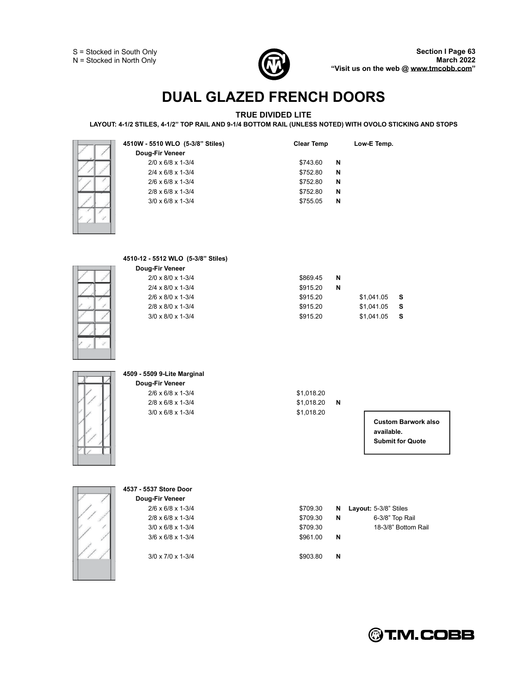

# **DUAL GLAZED FRENCH DOORS**

### **TRUE DIVIDED LITE**

**LAYOUT: 4-1/2 STILES, 4-1/2 TOP RAIL AND 9-1/4 BOTTOM RAIL (UNLESS NOTED) WITH OVOLO STICKING AND STOPS**

| 4510W - 5510 WLO (5-3/8" Stiles)        | <b>Clear Temp</b> |   | Low-E Temp.                |
|-----------------------------------------|-------------------|---|----------------------------|
| Doug-Fir Veneer                         |                   |   |                            |
| 2/0 x 6/8 x 1-3/4                       | \$743.60          | N |                            |
| $2/4 \times 6/8 \times 1 - \frac{3}{4}$ | \$752.80          | N |                            |
| 2/6 x 6/8 x 1-3/4                       | \$752.80          | N |                            |
| 2/8 x 6/8 x 1-3/4                       | \$752.80          | N |                            |
| $3/0 \times 6/8 \times 1-3/4$           | \$755.05          | N |                            |
|                                         |                   |   |                            |
| 4510-12 - 5512 WLO (5-3/8" Stiles)      |                   |   |                            |
| Doug-Fir Veneer                         |                   |   |                            |
| 2/0 x 8/0 x 1-3/4                       | \$869.45          | N |                            |
| 2/4 x 8/0 x 1-3/4                       | \$915.20          | N |                            |
| 2/6 x 8/0 x 1-3/4                       | \$915.20          |   | \$1,041.05<br>s            |
|                                         |                   |   |                            |
| 2/8 x 8/0 x 1-3/4                       | \$915.20          |   | \$1,041.05<br>S            |
| $3/0 \times 8/0 \times 1-3/4$           | \$915.20          |   | \$1,041.05<br>s            |
|                                         |                   |   |                            |
|                                         |                   |   |                            |
|                                         |                   |   |                            |
| 4509 - 5509 9-Lite Marginal             |                   |   |                            |
| Doug-Fir Veneer                         |                   |   |                            |
| 2/6 x 6/8 x 1-3/4                       | \$1,018.20        |   |                            |
| 2/8 x 6/8 x 1-3/4                       | \$1,018.20        | N |                            |
| $3/0 \times 6/8 \times 1-3/4$           | \$1,018.20        |   |                            |
|                                         |                   |   | <b>Custom Barwork also</b> |
|                                         |                   |   | available.                 |
|                                         |                   |   | <b>Submit for Quote</b>    |
|                                         |                   |   |                            |
|                                         |                   |   |                            |
|                                         |                   |   |                            |
|                                         |                   |   |                            |
| 4537 - 5537 Store Door                  |                   |   |                            |
| Doug-Fir Veneer                         |                   |   |                            |
| $2/6 \times 6/8 \times 1 - \frac{3}{4}$ | \$709.30          | N | Layout: 5-3/8" Stiles      |
| 2/8 x 6/8 x 1-3/4                       | \$709.30          | N | 6-3/8" Top Rail            |
| $3/0 \times 6/8 \times 1-3/4$           | \$709.30          |   | 18-3/8" Bottom Rail        |
| $3/6 \times 6/8 \times 1-3/4$           | \$961.00          | N |                            |
|                                         |                   |   |                            |
| 3/0 x 7/0 x 1-3/4                       | \$903.80          | N |                            |